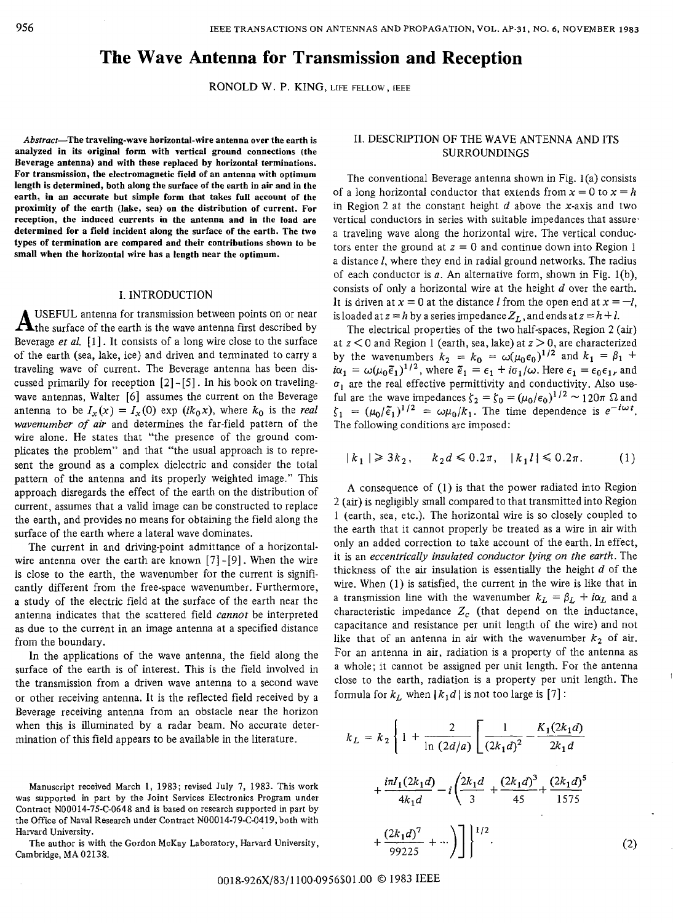# **The Wave Antenna for Transmission and Reception**

RONOLD w. P. KING, LIFE FELLOW, **[EEE** 

**Abstract-The traveling-wave horizontal-wire antenna over the earth is analyzed in its original form with vertical ground connections (the Beverage antenna) and with these replaced by horizontal terminations. For transmission, the electromagnetic field of an antenna with optimum length is determined, both along the surface of the earth in air and in the earth, in an accurate but simple form that takes full account of the proximity of the earth (lake, sea) on the distribution of current. For reception, the induced currents in the antema and in the load are determined for a field incident along the surface of the earth. The two types of termination are compared and their contributions shown to be small when the horizontal wire has a length near the optimum.** 

#### I. INTRODUCTION

**A** USEFUL antenna for transmission between points on or near the surface of the earth is the wave antenna first described by Beverage *et al.* [l] . It consists of a long wire close to the surface of the earth (sea, lake, ice) and driven and terminated to carry a traveling wave of current. The Beverage antenna has been discussed primarily for reception  $[2]$ - $[5]$ . In his book on travelingwave antennas, Walter [6] assumes the current on the Beverage antenna to be  $I_x(x) = I_x(0)$  exp  $(ik_0x)$ , where  $k_0$  is the *real wavenumber of air* and determines the far-field pattern of the wire alone. He states that "the presence of the ground complicates the problem" and that "the usual approach is to represent the ground as a complex dielectric and consider the total pattern of the antenna and its properly weighted image." This approach disregards the effect of the earth on the distribution of current, assumes that a valid image can be constructed to replace the earth, and provides no means for obtaining the field along the surface of the earth where a lateral wave dominates.

The current in and driving-point admittance of a horizontalwire antenna over the earth are known  $[7]$ - $[9]$ . When the wire is close to the earth, the wavenumber for the current is significantly different from the free-space wavenumber. Furthermore, a study of the electric field at the surface of the earth near the antenna indicates that the scattered field *cannot* be interpreted as due to the current in an image antenna at a specified distance from the boundary.

In the applications of the wave antenna, the field along the surface of the earth is of interest. This is the field involved in the transmission from a driven wave antenna to a second wave or other receiving antenna. It is the reflected field received by a Beverage receiving antenna from an obstacle near the horizon when this is illuminated by a radar beam. No accurate determination of this field appears to be available in the literature.

**The** author **is with** the Gordon McKay Laboratory, Harvard University, Cambridge, **MA** 02138.

#### 11. DESCRIPTION OF THE WAVE ANTENNA AND ITS SURROUNDINGS

The conventional Beverage antenna shown in Fig. l(a) consists of a long horizontal conductor that extends from  $x = 0$  to  $x = h$ in Region 2 at the constant height  $d$  above the x-axis and two vertical conductors in series with suitable impedances that assure. a traveling wave along the horizontal wire. The vertical conductors enter the ground at  $z = 0$  and continue down into Region 1 a distance *I,* where they end in radial ground networks. The radius of each conductor is  $a$ . An alternative form, shown in Fig. 1(b), consists of only a horizontal wire at the height  $d$  over the earth. It is driven at  $x = 0$  at the distance *I* from the open end at  $x = -l$ , is loaded at  $z = h$  by a series impedance  $Z_L$ , and ends at  $z = h + l$ .

The electrical properties of the two half-spaces, Region 2 (air) at *z* < 0 and Region 1 (earth, sea, lake) at *z* > 0, are characterized by the wavenumbers  $k_2 = k_0 = \omega(\mu_0 \epsilon_0)^{1/2}$  and  $k_1 = \beta_1 + \gamma_2$  $i\alpha_1 = \omega(\mu_0 \tilde{\epsilon}_1)^{1/2}$ , where  $\tilde{\epsilon}_1 = \epsilon_1 + i\sigma_1/\omega$ . Here  $\epsilon_1 = \epsilon_0 \epsilon_1 r$  and  $\sigma_1$  are the real effective permittivity and conductivity. Also useful are the wave impedances  $\zeta_2 = \zeta_0 = (\mu_0/\epsilon_0)^{1/2} \sim 120\pi \Omega$  and  $\zeta_1 = (\mu_0/\tilde{\epsilon}_1)^{1/2} = \omega \mu_0/k_1$ . The time dependence is  $e^{-i\omega t}$ . The following conditions are imposed:

$$
|k_1| \ge 3k_2, \quad k_2 d \le 0.2\pi, \quad |k_1 l| \le 0.2\pi. \tag{1}
$$

**A** consequence of (1) is that the power radiated into Region 2 *(air)* is negligibly small compared to that transmitted into Region 1 (earth, sea, etc.). The horizontal wire is so closely coupled to the earth that it cannot properly be treated as a wire in air with only an added correction to take account of the earth. In effect, it is an *eccentrically insulated conductor lying on the earth*. The thickness of the *air* insulation is essentially the height d of the wire. When (1) **is** satisfied, the current in the wire is like that in a transmission line with the wavenumber  $k_L = \beta_L + i\alpha_L$  and a characteristic impedance  $Z_c$  (that depend on the inductance, capacitance and resistance per unit length of the wire) and not like that of an antenna in air with the wavenumber  $k_2$  of air. For an antenna in air, radiation is a property of the antenna as a whole; it cannot be assigned per unit length. For the antenna close to the earth, radiation is a property per unit length. The formula for  $k_L$  when  $|k_1 d|$  is not too large is [7] :

$$
k_L = k_2 \left\{ 1 + \frac{2}{\ln(2d/a)} \left[ \frac{1}{(2k_1d)^2} - \frac{K_1(2k_1d)}{2k_1d} + \frac{i\pi I_1(2k_1d)}{4k_1d} - i \left( \frac{2k_1d}{3} + \frac{(2k_1d)^3}{45} + \frac{(2k_1d)^5}{1575} + \frac{(2k_1d)^7}{99225} + \cdots \right) \right] \Big\}^{1/2}.
$$
 (2)

Manuscript received March **1,** 1983; revised July 7, 1983. This work was supported in part by the Joint Services Electronics Program under Contract N00014-75-C-0648 and is based on research supported in part by the Office of Naval Research under Contract N00014-79-C-0419, both with Harvard University.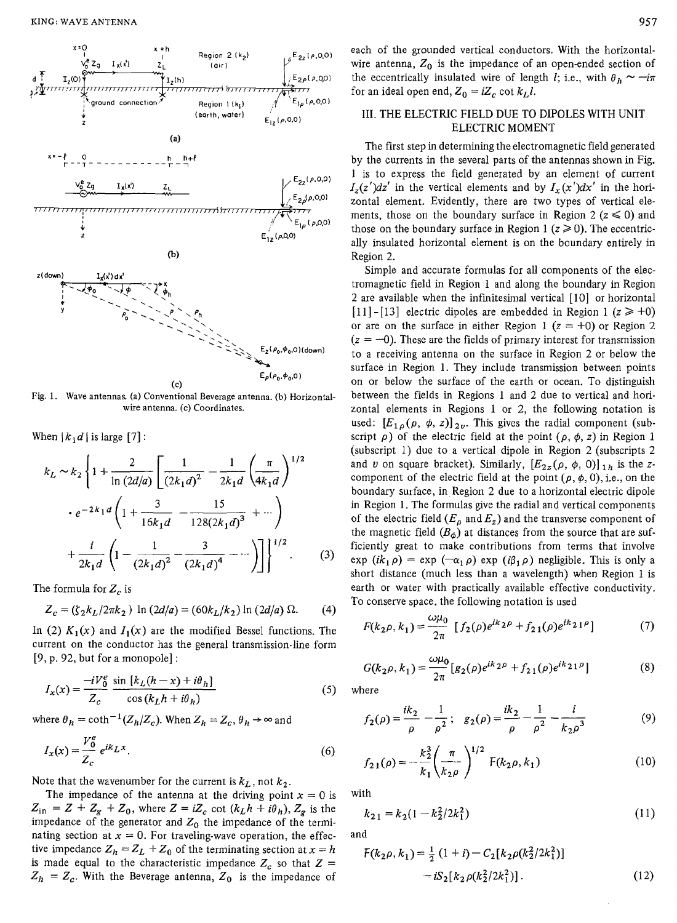

Fig. **1.** Wave antennas (a) Conventional Beverage antenna. **(b)** Horizontalwire antenna. (c) Coordinates.

When  $\{k, d\}$  is large  $[7]$ :

$$
k_L \sim k_2 \left\{ 1 + \frac{2}{\ln(2d/a)} \left[ \frac{1}{(2k_1d)^2} - \frac{1}{2k_1d} \left( \frac{\pi}{4k_1d} \right)^{1/2} \right] \right\}
$$

$$
+ e^{-2k_1d} \left( 1 + \frac{3}{16k_1d} - \frac{15}{128(2k_1d)^3} + \cdots \right)
$$

$$
+ \frac{i}{2k_1d} \left( 1 - \frac{1}{(2k_1d)^2} - \frac{3}{(2k_1d)^4} - \cdots \right) \right\}^{1/2} . \tag{3}
$$

The formula for  $Z_c$  is

$$
Z_c = (\zeta_2 k_L / 2\pi k_2) \ln (2d/a) = (60k_L / k_2) \ln (2d/a) \Omega.
$$
 (4)

In (2)  $K_1(x)$  and  $I_1(x)$  are the modified Bessel functions. The current on the conductor has the general transmission-line form [9, p. 92, but for a monopole]:<br>  $I_x(x) = \frac{-iV_0^e}{Z_c} \frac{\sin [k_L(h-x) + i\theta_h]}{\cos (k_L h + i\theta_h)}$  (5) current on the conductor has the general transmission-line form *[9,* p. *92,* but for a monopole] :

$$
I_x(x) = \frac{-iV_0^e}{Z_c} \frac{\sin\left[k_L(h-x) + i\theta_h\right]}{\cos\left(k_L h + i\theta_h\right)}\tag{5}
$$

where 
$$
\theta_h = \coth^{-1}(Z_h/Z_c)
$$
. When  $Z_h = Z_c$ ,  $\theta_h \to \infty$  and  

$$
I_x(x) = \frac{V_0^e}{Z_c} e^{ik_L x}.
$$
 (6)

Note that the wavenumber for the current is  $k_l$ , not  $k_2$ .

The impedance of the antenna at the driving point  $x = 0$  is  $Z_{\text{in}} = Z + Z_g + Z_0$ , where  $Z = iZ_c$  cot  $(k_L h + i\theta_h)$ ,  $Z_g$  is the impedance of the generator and  $Z_0$  the impedance of the terminating section at  $x = 0$ . For traveling-wave operation, the effective impedance  $Z_h = Z_L + Z_0$  of the terminating section at  $x = h$ is made equal to the characteristic impedance  $Z_c$  so that  $Z =$  $Z_h = Z_c$ . With the Beverage antenna,  $Z_0$  is the impedance of

each of the grounded vertical conductors. With the horizontalwire antenna,  $Z_0$  is the impedance of an open-ended section of the eccentrically insulated wire of length *I*; i.e., with  $\theta_h \sim -i\pi$ for an ideal open end,  $Z_0 = iZ_c \cot k_L l$ .

### 111. THE ELECTRIC FIELD DUE TO DIPOLES WITH UNIT ELECTRIC MOMENT

The first step in determining the electromagnetic field generated by the currents in the several parts of the antennas shown in Fig. **1** is to express the field generated by an element of current  $I_z(z')dz'$  in the vertical elements and by  $I_x(x')dx'$  in the horizontal element. Evidently, there are two types of vertical elements, those on the boundary surface in Region 2  $(z \le 0)$  and those on the boundary surface in Region 1  $(z \ge 0)$ . The eccentrically insulated horizontal element is on the boundary entirely in Region *2.* 

Simple and accurate formulas for all components of the electromagnetic field in Region 1 and along the boundary in Region *2* are available when the infinitesimal vertical [lo] or horizontal [11] -[13] electric dipoles are embedded in Region 1  $(z \ge +0)$ or are on the surface in either Region 1  $(z = +0)$  or Region 2  $(z = -0)$ . These are the fields of primary interest for transmission to a receiving antenna on the surface in Region *2* or below the surface in Region 1. They include transmission between points on or below the surface of the earth or ocean. To distinguish between the fields in Regions **1** and *2* due to vertical and horizontal elements in Regions 1 or *2,* the following notation is used:  $[E_{1,\rho}(\rho, \phi, z)]_{2\nu}$ . This gives the radial component (subscript  $\rho$ ) of the electric field at the point  $(\rho, \phi, z)$  in Region 1 (subscript 1) due to a vertical dipole in Region *2* (subscripts *2*  and *v* on square bracket). Similarly,  $[E_{2z}(\rho, \phi, 0)]_{1h}$  is the zcomponent of the electric field at the point  $(\rho, \phi, 0)$ , *i.e.*, on the boundary surface, in.Region *2* due to a horizontal electric dipole in Region **1.** The formulas give the radial and vertical components of the electric field  $(E_{\rho} \text{ and } E_{z})$  and the transverse component of the magnetic field  $(B_{\phi})$  at distances from the source that are sufficiently great to make contributions from terms that involve exp  $(ik_1 \rho) = \exp(-\alpha_1 \rho) \exp(i\beta_1 \rho)$  negligible. This is only a short distance (much less than a wavelength) when Region 1 is earth or water with practically available effective conductivity.<br>
To conserve space, the following notation is used<br>  $F(k_2\rho, k_1) = \frac{\omega\mu_0}{2\pi} \left[ f_2(\rho)e^{ik_2\rho} + f_{21}(\rho)e^{ik_21\rho} \right]$  (7) To conserve space, the following notation is used

$$
F(k_2 \rho, k_1) = \frac{\omega \mu_0}{2\pi} \left[ f_2(\rho) e^{ik_2 \rho} + f_{21}(\rho) e^{ik_2 \rho} \right] \tag{7}
$$

$$
G(k_2 \rho, k_1) = \frac{\omega \mu_0}{2\pi} \left[ g_2(\rho) e^{ik_2 \rho} + f_{21}(\rho) e^{ik_2 \rho} \right]
$$
 (8)

where

$$
f_2(\rho) = \frac{ik_2}{\rho} - \frac{1}{\rho^2}; \quad g_2(\rho) = \frac{ik_2}{\rho} - \frac{1}{\rho^2} - \frac{i}{k_2 \rho^3}
$$
(9)

$$
f_{21}(\rho) = -\frac{k_2^3}{k_1} \left(\frac{\pi}{k_2 \rho}\right)^{1/2} F(k_2 \rho, k_1)
$$
 (10)

with

$$
k_{21} = k_2(1 - k_2^2/2k_1^2) \tag{11}
$$

and

$$
F(k_2 \rho, k_1) = \frac{1}{2} (1 + i) - C_2 [k_2 \rho(k_2^2 / 2k_1^2)]
$$
  
-  $iS_2 [k_2 \rho(k_2^2 / 2k_1^2)].$  (12)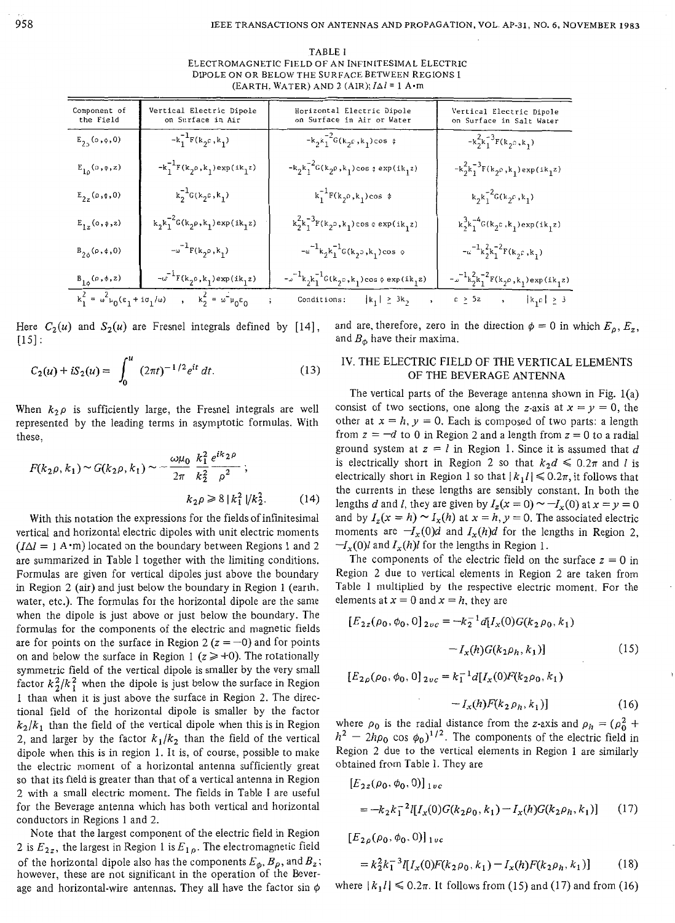| TABLET                                             |
|----------------------------------------------------|
| ELECTROMAGNETIC FIELD OF AN INFINITESIMAL ELECTRIC |
| DIPOLE ON OR BELOW THE SURFACE BETWEEN REGIONS 1   |
| (EARTH, WATER) AND 2 (AIR); $I\Delta l = 1$ A m    |

| Component of<br>the Field                                                                                                                                                                                                                                                          | Vertical Electric Dipole<br>on Surface in Air                                                                         | Horizontal Electric Dipole<br>on Surface in Air or Water                                                                               | Vertical Electric Dipole<br>on Surface in Salt Water                                                                         |  |  |
|------------------------------------------------------------------------------------------------------------------------------------------------------------------------------------------------------------------------------------------------------------------------------------|-----------------------------------------------------------------------------------------------------------------------|----------------------------------------------------------------------------------------------------------------------------------------|------------------------------------------------------------------------------------------------------------------------------|--|--|
| $E_{20}(0, 0, 0)$                                                                                                                                                                                                                                                                  | $-k_1^{-1}F(k_2c, k_1)$                                                                                               | $-k_2k_1^{-2}G(k_2k_1)cos \phi$                                                                                                        | $-k_2^2k_1^{-3}F(k_2, k_1)$                                                                                                  |  |  |
| $E_{1\rho}(\circ,\phi,z)$                                                                                                                                                                                                                                                          | $-\mathsf{k}_1^{-1}\mathsf{F}(\mathsf{k}_2\mathfrak{o},\mathsf{k}_1)\exp(\mathrm{i}\mathsf{k}_1\mathsf{z})$           | $-\mathsf{k}_2 \mathsf{k}_1^{-2} \mathsf{G}(\mathsf{k}_2 \rho\,, \mathsf{k}_1)\cos\phi \exp(\mathrm{i} \mathsf{k}_1 z)$                | $-\mathsf{k}_2^2\mathsf{k}_1^{-3}\mathsf{F}(\mathsf{k}_2\mathsf{p},\mathsf{k}_1)\exp(\mathsf{ik}_1\mathsf{z})$               |  |  |
| $E_{2z}(\rho,\phi,0)$                                                                                                                                                                                                                                                              | $\mathbf{k}_2^{-1}\mathbf{G}(\mathbf{k}_2\mathfrak{c},\mathbf{k}_1)$                                                  | $\mathrm{k}_1^{-1} \mathrm{F}(\mathrm{k}_2^{\phantom{\dagger}} \rho \,, \mathrm{k}_1^{\phantom{\dagger}}) \cos \phi$                   | $\kappa_2\kappa_1^{-2}\mathsf{G}(\kappa_2\mathsf{P},\kappa_1)$                                                               |  |  |
| $E_{1z}(0,\phi,z)$                                                                                                                                                                                                                                                                 | $\mathbf{k}_2 \mathbf{k}_1^{-2} \mathbf{G}(\mathbf{k}_2 \rho, \mathbf{k}_1) \exp(\mathrm{i} \mathbf{k}_1 \mathbf{z})$ | $\mathbf{k}_2^2\mathbf{k}_1^{-3}\mathbf{F}(\mathbf{k}_2\circ,\mathbf{k}_1)$ cos $\circ$ $\exp(\,i\,\mathbf{k}_1z)$                     | $\mathbf{k}_2^3\mathbf{k}_1^{-4}\mathbf{G}(\mathbf{k}_2\mathbf{c}\,,\mathbf{k}_1)\exp{(\mathbf{i}\,\mathbf{k}_1\mathbf{z})}$ |  |  |
| $B_{20}(\rho, \phi, 0)$                                                                                                                                                                                                                                                            | $\mathbf{w}^{-1}\mathbf{F}(\mathbf{k}_2\mathbf{0},\mathbf{k}_1)$                                                      | $\label{eq:3.1} -\omega^{-1} {\mathbf{k}_2 \mathbf{k}_1^{-1} \mathbf{G}(\mathbf{k}_2 \mathbf{0}, \mathbf{k}_1) \cos \, \, \mathbf{0}}$ | $-\omega^{-1}{\bf k}_2^2{\bf k}_1^{-2}{\bf F}({\bf k}_2 e_1 {\bf k}_1)$                                                      |  |  |
| $B_{1\phi}(\rho, \phi, z)$                                                                                                                                                                                                                                                         | $-\omega^{-1}F(\mathbf{k}_2\mathfrak{o},\mathbf{k}_1)\exp(\mathrm{i}\mathbf{k}_1z)$                                   | $\mathbf{L}_{\mathbf{L}}^{-1}\mathbf{k}_2\mathbf{k}_1^{-1}\mathbf{G}(\mathbf{k}_2,\mathbf{k}_1)\cos\phi\exp(\mathrm{i}\mathbf{k}_1z)$  | $\cdot \text{w}^{-1} \text{k}_2^2 \text{k}_1^{-2} \text{F}(\text{k}_2 \rho \, , \text{k}_1) \exp{(\text{i} \text{k}_1 z)}$   |  |  |
| $\mathbf{k}_1^2 = \omega^2 \mathbf{k}_0 (\varepsilon_1 + \mathbf{i} \sigma_1/\omega) \qquad , \qquad \mathbf{k}_2^2 = \omega^2 \mathbf{k}_0 \varepsilon_0$<br>$c \ \geq \ 5z \qquad \  \  , \qquad \  \  \, \lvert \ k_{1}c \, \rvert \ \geq \ 3$<br>Conditions: $ k_1  \geq 3k_2$ |                                                                                                                       |                                                                                                                                        |                                                                                                                              |  |  |

Here  $C_2(u)$  and  $S_2(u)$  are Fresnel integrals defined by [14],  $[15]$ :

$$
C_2(u) + iS_2(u) = \int_0^u (2\pi t)^{-1/2} e^{it} dt.
$$
 (13)

When  $k_2 \rho$  is sufficiently large, the Fresnel integrals are well represented by the leading terms in asymptotic formulas. With these,

$$
F(k_2 \rho, k_1) \sim G(k_2 \rho, k_1) \sim -\frac{\omega \mu_0}{2\pi} \frac{k_1^2}{k_2^2} \frac{e^{ik_2 \rho}}{\rho^2};
$$
  

$$
k_2 \rho \ge 8 |k_1^2| / k_2^2.
$$
 (14)

With this notation the expressions for the fields of infinitesimal vertical and horizontal electric dipoles with unit electric moments  $(I\Delta l = 1 \text{ A} \cdot \text{m})$  located on the boundary between Regions 1 and 2 are summarized in Table 1 together with the limiting conditions, Formulas are given for vertical dipoles just above the boundary in Region 2 (air) and just below the boundary in Region **1** (earth. water, etc.). The formulas for the horizontal dipole are the same when the dipole is just above or just below the boundary. The formulas for the components of the electric and magnetic fields are for points on the surface in Region 2 ( $z = -0$ ) and for points on and below the surface in Region 1  $(z \geq 0)$ . The rotationally symmetric field of the vertical dipole is smaller by the very small factor  $k_2^2/k_1^2$  when the dipole is just below the surface in Region 1 than when it is just above the surface in Region *2.* The directional field of the horizontal dipole is smaller by the factor  $k_2/k_1$  than the field of the vertical dipole when this is in Region 2, and larger by the factor  $k_1/k_2$  than the field of the vertical dipole when this is in region 1. It is, of course, possible to make the electric moment of a horizontal antenna sufficiently great so that its field is greater than that of a vertical antenna in Region 2 with a small electric moment. The fields in Table **I** are useful for the Beverage antenna which has both vertical and horizontal conductors in Regions 1 and *2.* 

Note that the largest component of the electric field in Region 2 is  $E_{2z}$ , the largest in Region 1 is  $E_{1p}$ . The electromagnetic field of the horizontal dipole also has the components  $E_{\phi}$ ,  $B_{\rho}$ , and  $B_{z}$ ; however, these are not significant in the operation of the Beverage and horizontal-wire antennas. They all have the factor sin **Q** 

and are, therefore, zero in the direction  $\phi = 0$  in which  $E_{\rho}$ ,  $E_{z}$ , and *Bo* have their maxima.

#### IV. THE ELECTRIC FIELD OF THE VERTICAL ELEMENTS OF THE BEVERAGE ANTENNA

The vertical parts of the Beverage antenna shown in Fig.  $1(a)$ consist of two sections, one along the z-axis at  $x = y = 0$ , the other at  $x = h$ ,  $y = 0$ . Each is composed of two parts: a length from  $z = -d$  to 0 in Region 2 and a length from  $z = 0$  to a radial ground system at  $z = l$  in Region 1. Since it is assumed that  $d$ is electrically short in Region 2 so that  $k_2d \leq 0.2\pi$  and *l* is electrically short in Region 1 so that  $|k_1 l| \leq 0.2\pi$ , it follows that the currents in these lengths are sensibly constant. In both the lengths *d* and *l*, they are given by  $I_z(x = 0) \sim -I_x(0)$  at  $x = y = 0$ and by  $I_z(x = h) \sim I_x(h)$  at  $x = h, y = 0$ . The associated electric moments are  $-I_x(0)d$  and  $I_x(h)d$  for the lengths in Region 2,  $-I_x(0)$ l and  $I_x(h)$ l for the lengths in Region 1.

The components of the electric field on the surface  $z = 0$  in Region *2* due to vertical elements in Regon *2* are taken from Table I multiplied by the respective elecrric moment. For the elements at  $x = 0$  and  $x = h$ , they are

$$
[E_{2z}(\rho_0, \phi_0, 0]_{2vc} = -k_2^{-1}d[I_x(0)G(k_2\rho_0, k_1) - I_x(h)G(k_2\rho_h, k_1)]
$$
\n(15)  
\n
$$
[E_{2\rho}(\rho_0, \phi_0, 0]_{2vc} = k_1^{-1}d[I_x(0)F(k_2\rho_0, k_1) - I_x(h)F(k_2\rho_h, k_1)]
$$
\n(16)

where  $\rho_0$  is the radial distance from the z-axis and  $\rho_h = (\rho_0^2 +$  $h^2 - 2h\rho_0 \cos \phi_0$ <sup>1/2</sup>. The components of the electric field in Region *2* due to the vertical elements in Region 1 are similarly obtained from Table I. They are

$$
[E_{2z}(\rho_0, \phi_0, 0)]_{1vc}
$$
  
=  $-k_2 k_1^{-2} l[I_x(0)G(k_2 \rho_0, k_1) - I_x(h)G(k_2 \rho_h, k_1)]$  (17)

 $[E_{2\rho}(\rho_0, \phi_0, 0)]_{1\nu c}$ 

$$
=k_2^2k_1^{-3}l[I_x(0)F(k_2\rho_0,k_1)-I_x(h)F(k_2\rho_h,k_1)]\qquad(18)
$$

where  $|k_1| \le 0.2\pi$ . It follows from (15) and (17) and from (16)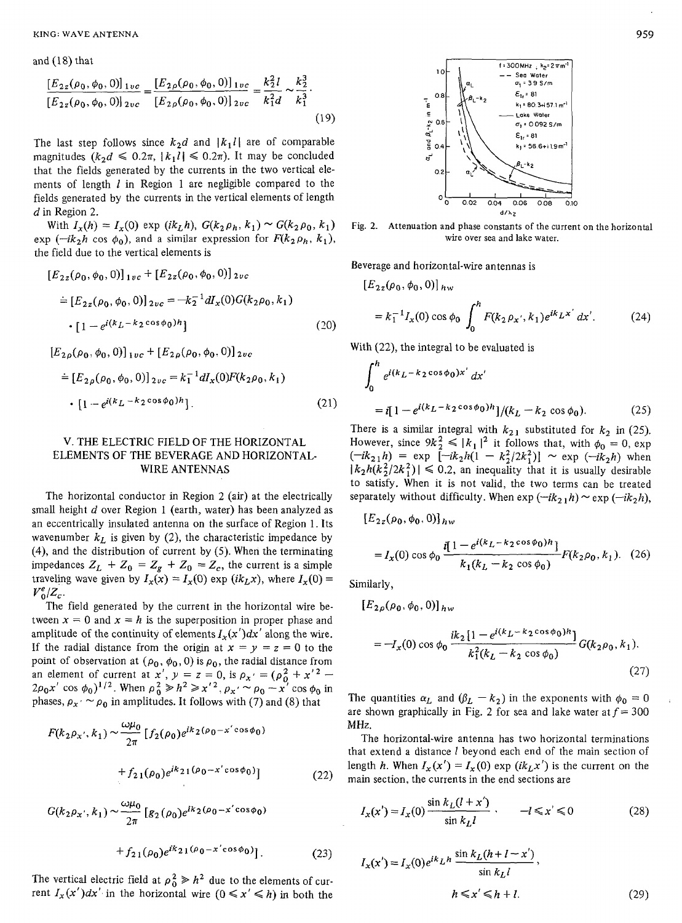and  $(18)$  that

$$
\frac{[E_{2z}(\rho_0, \phi_0, 0)]_{1vc}}{[E_{2z}(\rho_0, \phi_0, 0)]_{2vc}} = \frac{[E_{2\rho}(\rho_0, \phi_0, 0)]_{1vc}}{[E_{2\rho}(\rho_0, \phi_0, 0)]_{2vc}} = \frac{k_2^2 l}{k_1^2 d} \sim \frac{k_2^3}{k_1^3}.
$$
\n(19)

The last step follows since  $k_2d$  and  $|k_1l|$  are of comparable magnitudes  $(k_2d \leq 0.2\pi, |k_1l| \leq 0.2\pi)$ . It may be concluded that the fields generated by the currents in the two vertical elements of length *1* in Region 1 are negligible compared to the fields generated by the currents in the vertical elements of length d in Region 2.

With  $I_x(h) = I_x(0)$  exp  $(ik_Lh)$ ,  $G(k_2\rho_h, k_1) \sim G(k_2\rho_0, k_1)$ exp ( $-ik_2h$  cos  $\phi_0$ ), and a similar expression for  $F(k_2\rho_h, k_1)$ , the field due to the vertical elements is

$$
[E_{2z}(\rho_0, \phi_0, 0)]_{1vc} + [E_{2z}(\rho_0, \phi_0, 0)]_{2vc}
$$
  
\n
$$
\doteq [E_{2z}(\rho_0, \phi_0, 0)]_{2vc} = -k_2^{-1} dI_x(0) G(k_2 \rho_0, k_1)
$$
  
\n
$$
\cdot [1 - e^{i(k_L - k_2 \cos \phi_0)h}]
$$
 (20)

 $[E_{2\rho}(\rho_0, \phi_0, 0)]_{1vc} + [E_{2\rho}(\rho_0, \phi_0, 0)]_{2vc}$ 

$$
\stackrel{\cdot}{=} [E_{2\rho}(\rho_0, \phi_0, 0)]_{2\nu c} = k_1^{-1} dI_x(0) F(k_2 \rho_0, k_1)
$$
  
• [1 - e<sup>i(k<sub>L</sub> - k<sub>2</sub> cos \phi\_0)h]. (21)</sup>

## V. THE ELECTRIC FIELD OF THE HORIZONTAL ELEMENTS OF THE BEVERAGE AND HORIZONTAL-WIRE ANTENNAS

The horizontal conductor in Region 2 (air) at the electrically small height *d* over Region 1 (earth, water) has been analyzed as an eccentrically insulated antenna on the surface of Region 1. Its wavenumber  $k<sub>L</sub>$  is given by (2), the characteristic impedance by (4), and the distribution of current by (5). When the terminating impedances  $Z_L + Z_0 = Z_g + Z_0 = Z_c$ , the current is a simple traveling wave given by  $I_x(x) = I_x(0)$  exp  $(ik_L x)$ , where  $I_x(0) =$  $V_0^e/Z_c$ .

The field generated by the current in the horizontal wire between  $x = 0$  and  $x = h$  is the superposition in proper phase and amplitude of the continuity of elements  $I_x(x')dx'$  along the wire. If the radial distance from the origin at  $x = y = z = 0$  to the point of observation at  $(\rho_0, \phi_0, 0)$  is  $\rho_0$ , the radial distance from point of observation at  $(\rho_0, \phi_0, 0)$  is  $\rho_0$ , the radial distance from<br>an element of current at  $x', y = z = 0$ , is  $\rho_{x'} = (\rho_0^2 + x'^2 -$ 

$$
2\rho_0 x' \cos \phi_0)^{1/2}.
$$
 When  $\rho_0^2 \ge h^2 \ge x'^2$ ,  $\rho_x \sim \rho_0 - x' \cos \phi_0$  in  
phases,  $\rho_x \sim \rho_0$  in amplitudes. It follows with (7) and (8) that  

$$
F(k_2 \rho_{x'}, k_1) \sim \frac{\omega \mu_0}{2\pi} \left[ f_2(\rho_0) e^{ik_2(\rho_0 - x' \cos \phi_0)} + f_{21}(\rho_0) e^{ik_2(1(\rho_0 - x' \cos \phi_0)}) \right]
$$
(22)

$$
+ f_{21}(\rho_0) e^{ik_{21}(\rho_0 - x' \cos \phi_0)}]
$$
(22)  

$$
G(k_2 \rho_x, k_1) \sim \frac{\omega \mu_0}{2\pi} \left[ g_2(\rho_0) e^{ik_2(\rho_0 - x' \cos \phi_0)} + f_{21}(\rho_0) e^{ik_{21}(\rho_0 - x' \cos \phi_0)} \right].
$$
 (23)

The vertical electric field at  $\rho_0^2 \gg h^2$  due to the elements of current  $I_x(x')dx'$  in the horizontal wire  $(0 \le x' \le h)$  in both the



**Fig. 2. Attenuation and** phase **constants** of **the** current **on the** horizontal wire over **sea and lake** water.

Beverage and horizontal-wire antennas is

$$
[E_{2z}(\rho_0, \phi_0, 0)]_{hw}
$$
  
=  $k_1^{-1}I_x(0) \cos \phi_0 \int_0^h F(k_2 \rho_{x'}, k_1) e^{ik_L x'} dx'.$  (24)

With (22), the integral to be evaluated is

$$
\int_0^h e^{i(k_L - k_2 \cos \phi_0) x'} dx'
$$
  
=  $i[1 - e^{i(k_L - k_2 \cos \phi_0) h}]/(k_L - k_2 \cos \phi_0).$  (25)

There is a similar integral with  $k_{21}$  substituted for  $k_2$  in (25). However, since  $9k_2^2 \le |k_1|^2$  it follows that, with  $\phi_0 = 0$ , exp <br>  $(-ik_{21}h) = \exp[-ik_2h(1 - k_2^2/2k_1^2)] \sim \exp(-ik_2h)$  when  $|k_2h(k_2^2/2k_1^2)| \leq 0.2$ , an inequality that it is usually desirable to satisfy. When it is not valid, the two terms can be treated separately without difficulty. When  $\exp(-ik_2 h) \sim \exp(-ik_2 h)$ ,

$$
[E_{2z}(\rho_0, \phi_0, 0)]_{hw}
$$
  
=  $I_x(0) \cos \phi_0 \frac{i[1 - e^{i(k_L - k_2 \cos \phi_0)h}]}{k_1(k_L - k_2 \cos \phi_0)} F(k_2 \rho_0, k_1).$  (26)

Similarly,

$$
[E_{2\rho}(\rho_0, \phi_0, 0)]_{hw}
$$
  
=  $-I_x(0) \cos \phi_0 \frac{ik_2 [1 - e^{i(k_L - k_2 \cos \phi_0)h}]}{k_1^2 (k_L - k_2 \cos \phi_0)}$   $G(k_2 \rho_0, k_1)$ . (27)

The quantities  $\alpha_L$  and  $(\beta_L - k_2)$  in the exponents with  $\phi_0 = 0$ are shown graphically in Fig. 2 for sea and lake water at  $f = 300$ MHz.

The horizontal-wire antenna has two horizontal terminations that extend a distance *1* beyond each end of the main section of length *h*. When  $I_x(x') = I_x(0)$  exp (ik<sub>L</sub>x') is the current on the main section, the currents in the end sections are

$$
I_x(x') = I_x(0) \frac{\sin k_L(l+x')}{\sin k_L l} \qquad -l \leq x' \leq 0 \tag{28}
$$

$$
I_x(x') = I_x(0)e^{ik_Lh} \frac{\sin k_L(h + l - x')}{\sin k_Ll},
$$
  

$$
h \le x' \le h + l.
$$
 (29)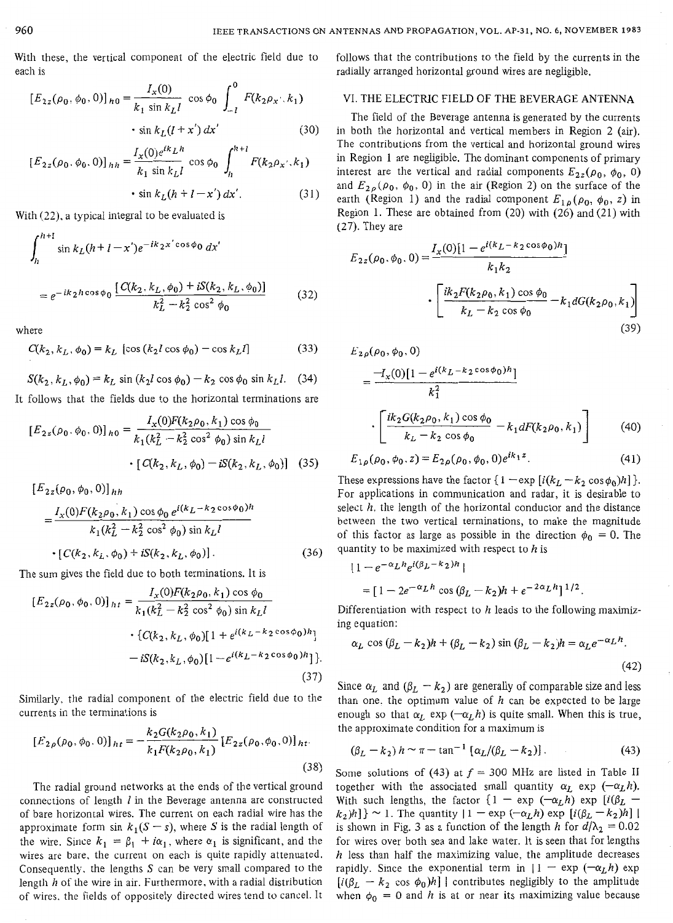With these, the vertical component of the electric field due to each is

$$
[E_{2z}(\rho_0, \phi_0, 0)]_{h0} = \frac{I_x(0)}{k_1 \sin k_L l} \cos \phi_0 \int_{-l}^{0} F(k_2 \rho_{x'}; k_1)
$$

$$
\cdot \sin k_L (l + x') dx'
$$
(30)

$$
[E_{2z}(\rho_0, \phi_0, 0)]_{hh} = \frac{I_x(0)e^{ik_Lh}}{k_1 \sin k_Ll} \cos \phi_0 \int_h^{h+l} F(k_2 \rho_x \cdot, k_1)
$$
  
 
$$
\cdot \sin k_L(h + l - x') dx'.
$$
 (31)

With (22). a typical integral to be evaluated is

$$
\int_{h}^{h+1} \sin k_L (h+1-x') e^{-ik_2 x' \cos \phi_0} dx'
$$
  
=  $e^{-ik_2 h \cos \phi_0} \frac{[C(k_2, k_L, \phi_0) + iS(k_2, k_L, \phi_0)]}{k_L^2 - k_2^2 \cos^2 \phi_0}$  (32)

where

$$
C(k_2, k_L, \phi_0) = k_L \left[ \cos (k_2 l \cos \phi_0) - \cos k_L l \right]
$$
 (33)

$$
S(k_2, k_L, \phi_0) = k_L \sin (k_2 l \cos \phi_0) - k_2 \cos \phi_0 \sin k_L l. \quad (34)
$$

It follows that the fields due to the horizontal terminations are

$$
[E_{2z}(\rho_0, \phi_0, 0)]_{h0} = \frac{I_x(0)F(k_2\rho_0, k_1)\cos\phi_0}{k_1(k_L^2 - k_2^2\cos^2\phi_0)\sin k_L l}
$$
  
• 
$$
[C(k_2, k_L, \phi_0) - iS(k_2, k_L, \phi_0)]
$$
 (35)

$$
[E_{2z}(\rho_0, \phi_0, 0)]_{hh}
$$
  
= 
$$
\frac{I_x(0)F(k_2\rho_0, k_1)\cos\phi_0 e^{i(k_L - k_2\cos\phi_0)h}}{k_1(k_L^2 - k_2^2\cos^2\phi_0)\sin k_L l}
$$
  
• 
$$
[C(k_2, k_L, \phi_0) + iS(k_2, k_L, \phi_0)].
$$
 (36)

The sum gives the field due to both terminations. It is

$$
[E_{2z}(\rho_0, \phi_0, 0)]_{ht} = \frac{I_x(0)F(k_2\rho_0, k_1)\cos\phi_0}{k_1(k_L^2 - k_2^2\cos^2\phi_0)\sin k_L l}
$$
  
 
$$
\cdot \{C(k_2, k_L, \phi_0)[1 + e^{i(k_L - k_2\cos\phi_0)h}] - iS(k_2, k_L, \phi_0)[1 - e^{i(k_L - k_2\cos\phi_0)h}]\}
$$
  
(37)

Similarly, the radial component of the electric field due to the currents in the terminations is

$$
[E_{2\rho}(\rho_0, \phi_0, 0)]_{ht} = -\frac{k_2 G(k_2 \rho_0, k_1)}{k_1 F(k_2 \rho_0, k_1)} [E_{2z}(\rho_0, \phi_0, 0)]_{ht}.
$$
\n(38)

The radial ground networks at the ends of the vertical ground connections of length *I* in the Beverage antenna are constructed of bare horizontal wires. The current on each radial wire has the approximate form sin  $k_1(S - s)$ , where S is the radial length of the wire. Since  $k_1 = \beta_1 + i\alpha_1$ , where  $\alpha_1$  is significant, and the wires are bare. the current on each is quite rapidly attenuated, Consequently, the lengths  $S$  can be very small compared to the length *h* of the wire in air. Furthermore, with a radial distribution of wires. the fields of oppositely directed wires tend to cancel. It

follows that the contributions to the field by the currents in the radially arranged horizontal ground wires are negligible.

## VI. THE ELECTRIC FIELD OF THE BEVERAGE ANTENNA

The field of the Beverage antenna is generated by the currents in both the horizontal and vertical members in Region *2* (air). The contributions from the vertical and horizontal ground wires in Region 1 are negligible. The dominant components of primary interest are the vertical and radial components  $E_{2z}(\rho_0, \phi_0, 0)$ and  $E_{2\rho}(\rho_0, \phi_0, 0)$  in the air (Region 2) on the surface of the earth (Region 1) and the radial component  $E_{1\rho}(\rho_0, \phi_0, z)$  in Region 1. These are obtained from (20) with (26) and (21) with (27). They are

$$
E_{2z}(\rho_0, \phi_0, 0) = \frac{I_x(0)[1 - e^{i(k_L - k_2 \cos \phi_0)h}]}{k_1 k_2} \cdot \left[ \frac{ik_2 F(k_2 \rho_0, k_1) \cos \phi_0}{k_L - k_2 \cos \phi_0} - k_1 dG(k_2 \rho_0, k_1) \right]
$$
\n(39)

$$
E_{2\rho}(\rho_0, \phi_0, 0)
$$
  
= 
$$
\frac{-I_x(0)[1 - e^{i(k_L - k_2 \cos \phi_0)h}]}{k_1^2}
$$
  

$$
\cdot \left[ \frac{ik_2 G(k_2 \rho_0, k_1) \cos \phi_0}{k_L - k_2 \cos \phi_0} - k_1 dF(k_2 \rho_0, k_1) \right]
$$
(40)

$$
E_{1\rho}(\rho_0, \phi_0, z) = E_{2\rho}(\rho_0, \phi_0, 0)e^{ik_1z}.
$$
 (41)

These expressions have the factor  $\{1 - \exp[i(k_L - k_2 \cos \phi_0)h]\}.$ For applications in communication and radar, it is desirable to select *k.* the length of the horizontal conductor and the distance between the two vertical terminations, to make the magnitude of this factor as large as possible in the direction  $\phi_0 = 0$ . The

quantity to be maximized with respect to *h* is  
\n
$$
|1 - e^{-\alpha_L h} e^{i(\beta_L - k_2)h}|
$$
\n
$$
= [1 - 2e^{-\alpha_L h} \cos(\beta_L - k_2)h + e^{-2\alpha_L h}]^{1/2}.
$$

Differentiation with respect to  $h$  leads to the following maximizing equation:

$$
\alpha_L \cos(\beta_L - k_2)h + (\beta_L - k_2)\sin(\beta_L - k_2)h = \alpha_L e^{-\alpha_L h}.
$$
\n(42)

Since  $\alpha_L$  and  $(\beta_L - k_2)$  are generally of comparable size and less than one. the optimum value of *h* can be expected to be large enough so that  $\alpha_L$  exp  $(-\alpha_L h)$  is quite small. When this is true, the approximate condition for a maximum is

$$
(\beta_L - k_2) h \sim \pi - \tan^{-1} \left[ \alpha_L / (\beta_L - k_2) \right]. \tag{43}
$$

Some solutions of (43) at  $f = 300$  MHz are listed in Table II together with the associated small quantity  $\alpha_L$  exp  $(-\alpha_L h)$ . ogether with the associated small quantity  $\alpha_L$  exp  $(-\alpha_L h)$ .<br>With such lengths, the factor  $\{1 - \exp(-\alpha_L h) \exp[i(\beta_L$ *k*<sup>2</sup>)*h*]}  $\sim$  1. The quantity  $|1 - \exp(-\alpha_L h) \exp[i(\beta_L - k_2)h]$   $|k_2|$ is shown in Fig. 3 as a function of the length *h* for  $d/\lambda_2 = 0.02$ for wires over both sea and lake water. It is seen that for lengths *h* less than half the maximizing value, the amplitude decreases rapidly. Since the exponential term in  $1 - \exp(-\alpha_L h) \exp(-\alpha_L h)$  $[i(\beta_L - k_2 \cos \phi_0)h]$  contributes negligibly to the amplitude when  $\phi_0 = 0$  and *h* is at or near its maximizing value because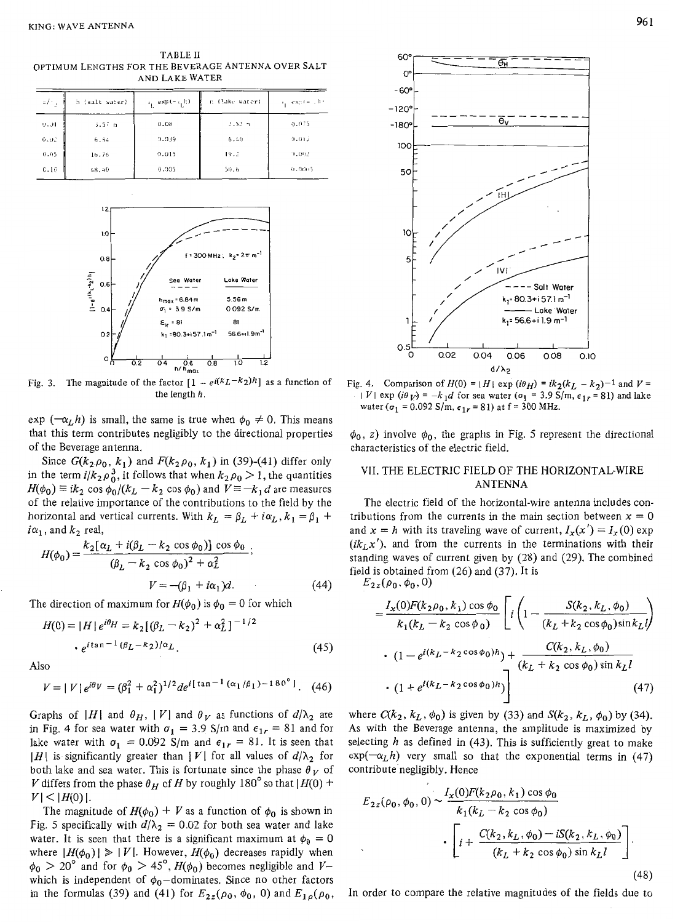**TABLE I1**  OPTIMUM LENGTHS FOR THE BEVERAGE ANTENNA OVER SALT AND LAKE WATER

| $\mathcal{A}_{\mathcal{A}}$ | h (salt water)    | $v_1$ exp( $-v_1$ k) | n (lake water) | $x_i$ exp( = $h$ ) |
|-----------------------------|-------------------|----------------------|----------------|--------------------|
| 9.91                        | 3.57 <sub>m</sub> | 0.08                 | $2.52 -$       | 9.075              |
| 0.02                        | 6.54              | 9.939                | 6.49           | $(1,0)$ 2          |
| 0.05                        | 16.76             | 0.015                | 19.2           | 11,002             |
| C.10                        | 48.40             | 0.035                | 50.6           | 0.0005             |



Fig. 3. The magnitude of the factor  $\left[1 - e^{i(k_L - k_2)h}\right]$  as a function of the length *h.* 

 $\exp(-\alpha_L h)$  is small, the same is true when  $\phi_0 \neq 0$ . This means that this term contributes negligibly to the directional properties of the Beverage antenna.

Since  $G(k_2,\rho_0, k_1)$  and  $F(k_2,\rho_0, k_1)$  in (39)-(41) differ only in the term  $i/k_2 \rho_0^3$ , it follows that when  $k_2 \rho_0 > 1$ , the quantities  $H(\phi_0) \equiv ik_2 \cos \phi_0/(k_L - k_2 \cos \phi_0)$  and  $V \equiv -k_1 d$  are measures of the relative importance of the contributions to the field by the horizontal and vertical currents. With  $k_L = \beta_L + i\alpha_L$ ,  $k_1 = \beta_1 + i\alpha_L$  $i\alpha_1$ , and  $k_2$  real,

, and 
$$
k_2
$$
 real,  
\n
$$
H(\phi_0) = \frac{k_2[\alpha_L + i(\beta_L - k_2 \cos \phi_0)] \cos \phi_0}{(\beta_L - k_2 \cos \phi_0)^2 + \alpha_L^2};
$$
\n
$$
V = -(\beta_1 + i\alpha_1)d.
$$
\n(44)

The direction of maximum for  $H(\phi_0)$  is  $\phi_0 = 0$  for which

$$
H(0) = |H| e^{i\theta_H} = k_2 [(\beta_L - k_2)^2 + \alpha_L^2]^{-1/2}
$$
  
•  $e^{i \tan^{-1} (\beta_L - k_2)/\alpha_L}$ . (45)

*Also* 

$$
V = |V|e^{i\theta V} = (\beta_1^2 + \alpha_1^2)^{1/2}de^{i\left[\tan^{-1}(\alpha_1/\beta_1) - 180^\circ\right]}.
$$
 (46)

Graphs of  $|H|$  and  $\theta_H$ ,  $|V|$  and  $\theta_V$  as functions of  $d/\lambda_2$  are in Fig. 4 for sea water with  $\sigma_1 = 3.9$  S/m and  $\epsilon_{1r} = 81$  and for lake water with  $\sigma_1 = 0.092$  S/m and  $\epsilon_{1r} = 81$ . It is seen that *IH* is significantly greater than *IV* and *VI* tor all values of  $d/\lambda_2$  for both lake and sea water. This is fortunate since the phase  $\theta_V$  of V differs from the phase  $\theta_H$  of H by roughly 180° so that  $|H(0)$  +  $|V|$   $\leq$   $|H(0)|$ .

The magnitude of  $H(\phi_0) + V$  as a function of  $\phi_0$  is shown in Fig. 5 specifically with  $d/\lambda_2 = 0.02$  for both sea water and lake water. It is seen that there is a significant maximum at  $\phi_0 = 0$ where  $|H(\phi_0)| \geq |V|$ . However,  $H(\phi_0)$  decreases rapidly when  $\phi_0$  > 20° and for  $\phi_0$  > 45°, *H*( $\phi_0$ ) becomes negligible and *V*which is independent of  $\phi_0$ -dominates. Since no other factors in the formulas (39) and (41) for  $E_{2z}(\rho_0, \phi_0, 0)$  and  $E_{1\rho}(\rho_0, \phi_0, 0)$ 



Fig. 4. Comparison of  $H(0) = |H| \exp(i\theta_H) = ik_2(k_L - k_2)^{-1}$  and  $V =$  $|V|$  exp  $(i\theta_V) = -k_1 d$  for sea water  $(\sigma_1 = 3.9 \text{ S/m}, \epsilon_{1r} = 81)$  and lake water ( $\sigma_1$  = 0.092 S/m,  $\epsilon_{1r}$  = 81) at f = 300 MHz.

 $\phi_0$ , z) involve  $\phi_0$ , the graphs in Fig. 5 represent the directional characteristics of the electric field.

## VII. THE ELECTRIC FIELD OF THE HORIZONTAL-WIRE ANTEKNA

The electric field of the horizontal-wire antenna includes contributions from the currents in the main section between  $x = 0$ and  $x = h$  with its traveling wave of current,  $I_x(x') = I_x(0)$  exp  $(ik<sub>L</sub>x')$ , and from the currents in the terminations with their standing waves of current given by (28) and (29). The combined field is obtained from (26) and (37). It is

 $E_{2z}(\rho_0, \phi_0, 0)$ 

$$
= \frac{I_x(0)F(k_2\rho_0, k_1)\cos\phi_0}{k_1(k_L - k_2\cos\phi_0)} \left[ i \left( 1 - \frac{S(k_2, k_L, \phi_0)}{(k_L + k_2\cos\phi_0)\sin k_L l} \right) \right]
$$
  
•  $(1 - e^{i(k_L - k_2\cos\phi_0)h}) + \frac{C(k_2, k_L, \phi_0)}{(k_L + k_2\cos\phi_0)\sin k_L l}$   
•  $(1 + e^{i(k_L - k_2\cos\phi_0)h})$  (47)

where  $C(k_2, k_L, \phi_0)$  is given by (33) and  $S(k_2, k_L, \phi_0)$  by (34). As with the Beverage antenna, the amplitude is maximized by selecting *h* as defined in (43). This **is** sufficiently great to make  $exp(-\alpha_Lh)$  very small so that the exponential terms in (47) contribute negligibly. Hence

$$
E_{2z}(\rho_0, \phi_0, 0) \sim \frac{I_x(0)F(k_2\rho_0, k_1)\cos\phi_0}{k_1(k_L - k_2\cos\phi_0)}
$$

$$
\cdot \left[ i + \frac{C(k_2, k_L, \phi_0) - iS(k_2, k_L, \phi_0)}{(k_L + k_2\cos\phi_0)\sin k_L l} \right].
$$
\n(48)

In order to compare the relative magnitudes of the fields due to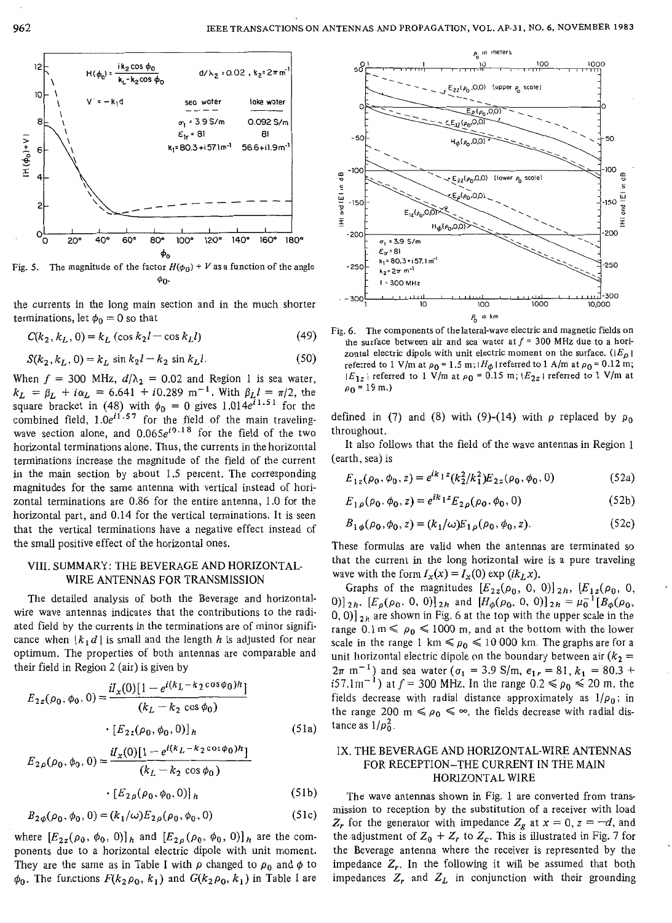

**90-**  Fig. 5. The magnitude of the factor  $H(\phi_0) + V$  as a function of the angle

the currents in the long main section and in the much shorter terminations, let  $\phi_0 = 0$  so that

$$
C(k_2, k_L, 0) = k_L (\cos k_2 l - \cos k_L l)
$$
 (49)

$$
S(k_2, k_L, 0) = k_L \sin k_2 l - k_2 \sin k_L l.
$$
 (50)

When  $f = 300$  MHz,  $d/\lambda_2 = 0.02$  and Region 1 is sea water,  $k_L = \beta_L + i\alpha_L = 6.641 + i0.289 \text{ m}^{-1}$ . With  $\beta_L l = \pi/2$ , the quare bracket in (48) with  $\phi_0 = 0$  gives 1.014e<sup>i1.51</sup> for the combined field, 1 *.Oe"."* for the field of the main travelingwave section alone, and *0.065e'0~18* for the field of the two horizontal terminations alone. Thus, the currents in the horizontal terminations increase the magnitude of the field of the current in the main section by about 1.5 percent. The corresponding magnitudes for the same antenna with vertical instead of horizontal terminations are 0.86 for the entire antenna, *1.0* for the horizontal part, and 0.14 for the vertical terminations. It is seen that the vertical terminations have a negative effect instead of the small positive effect of the horizontal ones.

#### **VIII.** SUMMARY: THE BEVERAGE AND HORIZOKTAL-WIRE ANTENNAS FOR TRANSMISSION

The detailed analysis of both the Beverage and horizontalwire wave antennas indicates that the contributions to the radiated field by the currents in the terminations are of minor significance when  $\lfloor k_1 d \rfloor$  is small and the length *h* is adjusted for near optimum. The properties of both antennas are comparable and their field in Region 2 (air) is given by

$$
E_{2z}(\rho_0, \phi_0, 0) = \frac{iI_x(0)[1 - e^{i(k_L - k_2 \cos \phi_0)h}]}{(k_L - k_2 \cos \phi_0)}
$$
  
• 
$$
[E_{2z}(\rho_0, \phi_0, 0)]_h
$$
 (51a)

$$
E_{2\rho}(\rho_0, \phi_0, 0) = \frac{d_x(0)[1 - e^{i(k_L - k_2 \cos \phi_0)h}]}{(k_L - k_2 \cos \phi_0)}
$$

$$
\cdot [E_{2\rho}(\rho_0, \phi_0, 0)]_h \tag{51b}
$$

$$
B_{2\phi}(\rho_0, \phi_0, 0) = (k_1/\omega) E_{2\rho}(\rho_0, \phi_0, 0)
$$
 (51c)

where  $[E_{2z}(\rho_0, \phi_0, 0)]_h$  and  $[E_{2\rho}(\rho_0, \phi_0, 0)]_h$  are the components due to a horizontal electric dipole with unit moment. They are the same as in Table I with  $\rho$  changed to  $\rho_0$  and  $\phi$  to  $\phi_0$ . The functions  $F(k_2\rho_0, k_1)$  and  $G(k_2\rho_0, k_1)$  in Table I are



**Fig.** *6.* **The** components of the lateral-wave electric and magnetic fields on the surface between air and sea water at  $f = 300$  MHz due to a horizontal electric dipole with unit electric moment on the surface.  $(|E_p|)$ referred to 1 V/m at  $\rho_0 = 1.5$  m;  $H_\phi$  | referred to 1 A/m at  $\rho_0 = 0.12$  m;  $|E_{1z}|$  referred to 1 V/m at  $\rho_0 = 0.15$  m;  $|E_{2z}|$  referred to 1 V/m at  $\rho_0 = 19$  m.)

defined in (7) and (8) with (9)-(14) with  $\rho$  replaced by  $\rho_0$ throughout.

It also follows that the field of the wave antennas in Region 1 (earth, sea) is

$$
E_{1z}(\rho_0, \phi_0, z) = e^{ik_1 z} (k_2^2 / k_1^2) E_{2z}(\rho_0, \phi_0, 0)
$$
 (52a)

$$
E_{1\rho}(\rho_0, \phi_0, z) = e^{ik_1 z} E_{2\rho}(\rho_0, \phi_0, 0)
$$
 (52b)

$$
B_{1\phi}(\rho_0, \phi_0, z) = (k_1/\omega) E_{1\rho}(\rho_0, \phi_0, z). \tag{52c}
$$

These formulas are valid when the antennas are terminated so that the current in the long horizontal wire is a pure traveling wave with the form  $I_x(x) = I_x(0) \exp (ik_L x)$ .

Graphs of the magnitudes  $[E_{2z}(\rho_0, 0, 0)]_{2h}$ ,  $[E_{1z}(\rho_0, 0, 0)]_{2h}$  $[0, 0]$   $\mathfrak{z}_h$  are shown in Fig. 6 at the top with the upper scale in the range  $0.1 \text{ m} \leq \rho_0 \leq 1000 \text{ m}$ , and at the bottom with the lower scale in the range 1 km  $\leq \rho_0 \leq 10000$  km. The graphs are for a unit horizontal electric dipole on the boundary between air  $(k_2 =$  $2\pi$  m<sup>-1</sup>) and sea water ( $\sigma_1 = 3.9$  S/m,  $\epsilon_{1r} = 81$ ,  $k_1 = 80.3 + 1$ i57.1m<sup>-1</sup>) at  $f = 300$  MHz. In the range  $0.2 \le \rho_0 \le 20$  m, the fields decrease with radial distance approximately as  $1/\rho_0$ ; in the range 200 m  $\leq \rho_0 \leq \infty$ , the fields decrease with radial distance as  $1/\rho_0^2$ . 0)]<sub>2h</sub>,  $[E_{\rho}(\rho_0, 0, 0)]_{2h}$  and  $[H_{\phi}(\rho_0, 0, 0)]_{2h} = \mu_0^{-1} [B_{\phi}(\rho_0, 0, 0)]_{2h}$ 

### IX. THE BEVERAGE AND HORIZONTAL-WIRE ANTENNAS FOR RECEPTION-THE CURRENT IN THE MAIN HORIZONTAL WIRE

The wave antennas shown in Fig. *1* are converted from transmission to reception by the substitution of a receiver with load  $Z_r$  for the generator with impedance  $Z_g$  at  $x = 0$ ,  $z = -d$ , and the adjustment of  $Z_0 + Z_r$  to  $Z_c$ . This is illustrated in Fig. 7 for the Beverage antenna where the receiver is represented by the impedance  $Z_r$ . In the following it will be assumed that both impedances  $Z_r$  and  $Z_L$  in conjunction with their grounding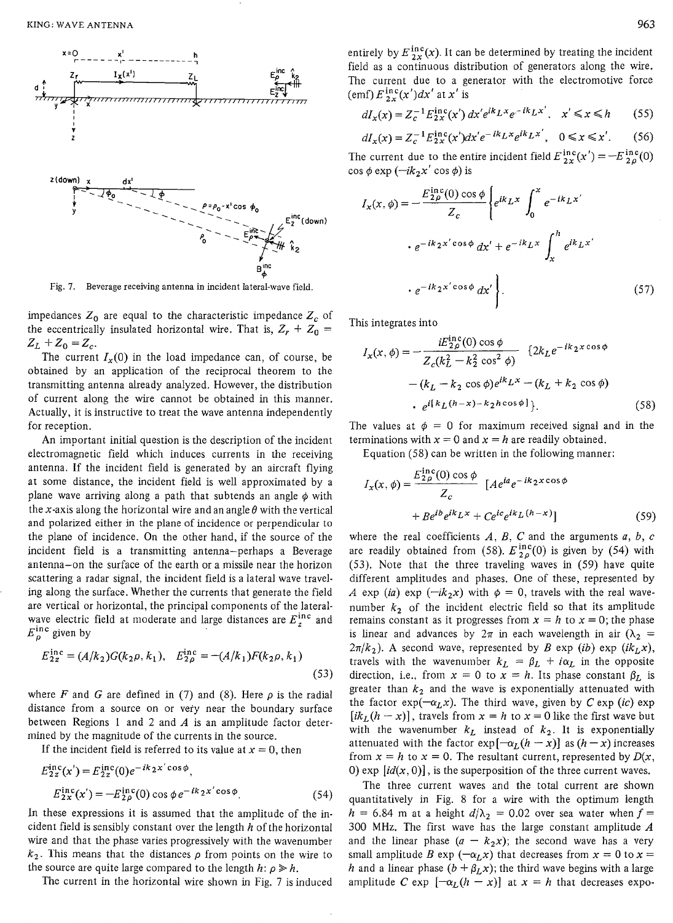

Fig. 7. Beverage receiving antenna in incident lateral-wave field.

impedances  $Z_0$  are equal to the characteristic impedance  $Z_c$  of the eccentrically insulated horizontal wire. That is,  $Z_r + Z_0 =$  $Z_L + Z_0 = Z_c$ .

The current  $I_x(0)$  in the load impedance can, of course, be obtained by an application of the reciprocal theorem to the transmitting antenna already analyzed. However, the distribution of current along the wire cannot be obtained in this manner. Actually, it is instructive to treat the wave antenna independently for reception.

An important initial question is the description of the incident electromagnetic field which induces currents in the receiving antenna. If the incident field is generated by an aircraft flying at some distance, the incident field is well approximated by a plane wave arriving along a path that subtends an angle  $\phi$  with the x-axis along the horizontal wire and an angle  $\theta$  with the vertical and polarized either *in* the plane of incidence or perpendicular to the plane of incidence. On the other hand, if the source of the incident field is a transmitting antenna-perhaps a Beverage antenna-on the surface of the earth or a missile near the horizon scattering a radar signal, the incident field is a lateral wave traveling along the surface. Whether the currents that generate the field are vertical or horizontal, the principal components of the lateralwave electric field at moderate and large distances are  $E_z^{\text{inc}}$  and  $E_{\rho}^{\text{inc}}$  given by

$$
E_{2z}^{\text{inc}} = (A/k_2)G(k_2\rho, k_1), \quad E_{2\rho}^{\text{inc}} = -(A/k_1)F(k_2\rho, k_1)
$$
\n(53)

where F and G are defined in (7) and (8). Here  $\rho$  is the radial distance from a source on or very near the boundary surface between Regions 1 and 2 and *A* is an amplitude factor determined by the magnitude of the currents in the source.

If the incident field is referred to its value at  $x = 0$ , then

$$
E_{2z}^{\text{nc}}(x') = E_{2z}^{\text{nc}}(0)e^{-iK_{2}x \cos \phi},
$$
  
\n
$$
E_{2x}^{\text{inc}}(x') = -E_{2\rho}^{\text{inc}}(0) \cos \phi e^{-ik_{2}x' \cos \phi}.
$$
 (54)

In these expressions it is assumed that the amplitude of the incident field is sensibly constant over the length *h* of the horizontal wire and that the phase varies progressively with the wavenumber  $k_2$ . This means that the distances  $\rho$  from points on the wire to the source are quite large compared to the length  $h: \rho \geq h$ .

The current in the horizontal wire shown in Fig.  $7$  is induced

entirely by  $E_{2x}^{\text{inc}}(x)$ . It can be determined by treating the incident field as a continuous distribution of generators along the wire. The current due to a generator with the electromotive force (emf)  $E_{2x}^{\text{inc}}(x')dx'$  at  $x'$  is

$$
dI_x(x) = Z_c^{-1} E_{2x}^{\text{inc}}(x') dx' e^{ik} L^x e^{-ik} L^{x'}, \quad x' \le x \le h \tag{55}
$$

$$
dI_x(x) = Z_c^{-1} E_{2x}^{\text{inc}}(x') dx' e^{-ik} L^x e^{ik} L^x, \quad 0 \le x \le x'.
$$
 (56)

The current due to the entire incident field  $E_{2x}^{\text{inc}}(x') = -E_{2\rho}^{\text{inc}}(0)$ cos  $\phi$  exp ( $-ik_2x'$  cos  $\phi$ ) is

$$
I_x(x, \phi) = -\frac{E_{2\rho}^{\text{inc}}(0) \cos \phi}{Z_c} \left\{ e^{ik} L^x \int_0^x e^{-ik} L^{x'} \right\}
$$

$$
\cdot e^{-ik_2 x' \cos \phi} dx' + e^{-ik_2 x} \int_x^h e^{ik_2 x'}
$$

$$
\cdot e^{-ik_2 x' \cos \phi} dx' \right\}.
$$
(57)

This integrates into

$$
I_x(x, \phi) = -\frac{iE_{2\rho}^{\text{nc}}(0) \cos \phi}{Z_c(k_L^2 - k_2^2 \cos^2 \phi)} \quad \{2k_L e^{-ik_2 x \cos \phi} - (k_L - k_2 \cos \phi)e^{ik_L x} - (k_L + k_2 \cos \phi) - e^{i[k_L(h - x) - k_2 h \cos \phi]} \},
$$
\n(58)

The values at  $\phi = 0$  for maximum received signal and in the terminations with  $x = 0$  and  $x = h$  are readily obtained.

Equation (58) can be written in the following manner:

$$
I_x(x, \phi) = \frac{E_{2\rho}^{\text{inc}}(0) \cos \phi}{Z_c} \left[ A e^{ia} e^{-ik_2 x \cos \phi} + B e^{ib} e^{ik_L x} + C e^{ic} e^{ik_L (h-x)} \right]
$$
(59)

where the real coefficients  $A, B, C$  and the arguments  $a, b, c$ are readily obtained from (58).  $E_{2\rho}^{\text{inc}}(0)$  is given by (54) with (53). Note that the three traveling waves in (59) have quite different amplitudes and phases. One of these, represented by *A* exp (ia) exp ( $-ik_2x$ ) with  $\phi = 0$ , travels with the real wavenumber  $k_2$  of the incident electric field so that its amplitude remains constant as it progresses from  $x = h$  to  $x = 0$ ; the phase is linear and advances by  $2\pi$  in each wavelength in air  $(\lambda_2 =$  $2\pi/k_2$ ). A second wave, represented by *B* exp *(ib)* exp *(ik<sub>L</sub>x)*, travels with the wavenumber  $k_L = \beta_L + i\alpha_L$  in the opposite direction, i.e., from  $x = 0$  to  $x = h$ . Its phase constant  $\beta_L$  is greater than  $k_2$  and the wave is exponentially attenuated with the factor  $\exp(-\alpha_L x)$ . The third wave, given by *C* exp *(ic)* exp *[ik<sub>L</sub>*(*h* - *x*)], travels from *x* = *h* to *x* = 0 like the first wave but with the wavenumber  $k_L$  instead of  $k_2$ . It is exponentially attenuated with the factor  $\exp[-\alpha_L(h-x)]$  as  $(h-x)$  increases attenuated with the factor  $exp[-\alpha_L(h - x)]$  as  $(h - x)$  increases from  $x = h$  to  $x = 0$ . The resultant current, represented by  $D(x,$ 0) exp  $(id(x, 0)]$ , is the superposition of the three current waves.

The three current waves and the total current are shown quantitatively in Fig. 8 for a wire with the optimum length  $h = 6.84$  m at a height  $d/\lambda_2 = 0.02$  over sea water when  $f =$ 300 MHz. The first wave has the large constant amplitude  $A$  and the linear phase  $(a - k_2x)$ ; the second wave has a very small amplitude *B* exp  $(-\alpha_L x)$  that decreases from  $x = 0$  to  $x =$ *h* and a linear phase  $(b + \beta_L x)$ ; the third wave begins with a large amplitude *C* exp  $[-\alpha_L(h - x)]$  at  $x = h$  that decreases expo-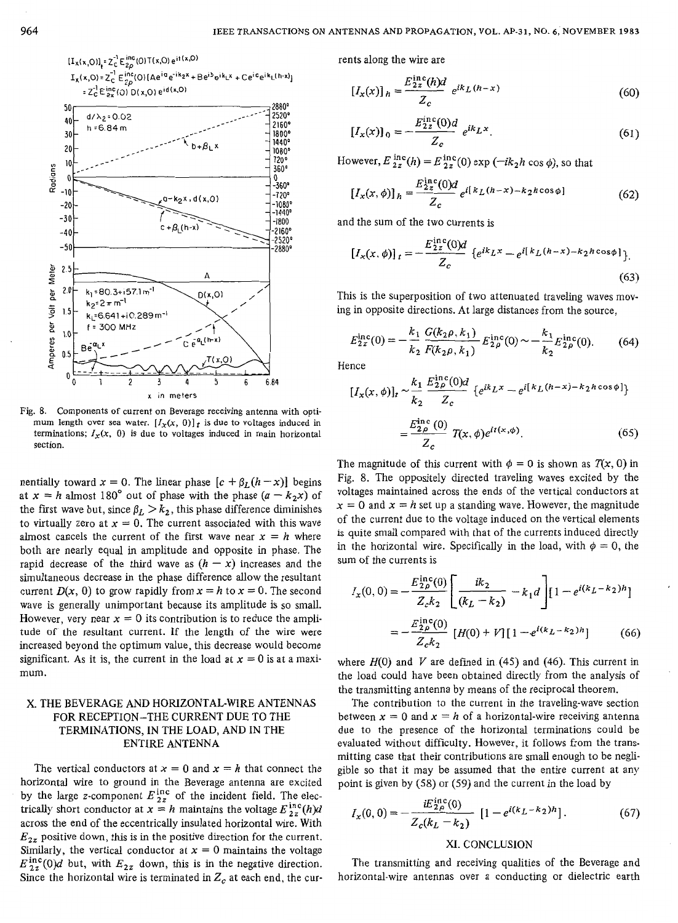

Fig. 8. Components of current on Beverage receiving antenna **with** optimum length over sea water.  $[I_x(x, 0)]_t$  is due to voltages induced in terminations;  $I_x(x, 0)$  is due to voltages induced in main horizontal section.

nentially toward  $x = 0$ . The linear phase  $[c + \beta_L(h - x)]$  begins at  $x = h$  almost 180° out of phase with the phase  $(a - k_2x)$  of the first wave but, since  $\beta_L > k_2$ , this phase difference diminishes to virtually zero at  $x = 0$ . The current associated with this wave almost cancels the current of the first wave near  $x = h$  where both are nearly equal in amplitude and opposite in phase. The rapid decrease of the third wave as  $(h - x)$  increases and the simultaneous decrease in the phase difference allow the resultant current  $D(x, 0)$  to grow rapidly from  $x = h$  to  $x = 0$ . The second wave is generally unimportant because its amplitude is so small. However, very near  $x = 0$  its contribution is to reduce the amplitude of the resultant current. If the length of the wire were increased beyond the optimum value, this decrease would become significant. As it is, the current in the load at  $x = 0$  is at a maximum.

## **X.** THE BEVERAGE AND HORIZONTAL-WIRE ANTENNAS FOR RECEPTION-THE CURRENT DUE TO THE TERMINATIONS, IN THE LOAD, AND IN THE ENTIRE ANTENNA

The vertical conductors at  $x = 0$  and  $x = h$  that connect the horizontal wire to ground in the Beverage antenna are excited by the large z-component  $E_{2z}^{\text{inc}}$  of the incident field. The electrically short conductor at  $x = h$  maintains the voltage  $E_{2z}^{\text{inc}}(h)d$ across the end of the eccentrically insulated horizontal wire. With  $E_2$ , positive down, this is in the positive direction for the current. Similarly, the vertical conductor at  $x = 0$  maintains the voltage  $E_{2z}^{\text{inc}}(0)d$  but, with  $E_{2z}$  down, this is in the negative direction. Since the horizontal wire is terminated in  $Z_c$  at each end, the currents along the wire are

$$
[I_x(x)]_h = \frac{E_{2z}^{\text{inc}}(h)d}{Z_c} e^{ik_L(h-x)}
$$
(60)

$$
[I_x(x)]_0 = -\frac{E_{2z}^{\rm inc}(0)d}{Z_c} e^{ik_L x}.
$$
 (61)

However,  $E_{2z}^{\text{inc}}(h) = E_{2z}^{\text{inc}}(0) \exp(-ik_2h \cos \phi)$ , so that

$$
\left[I_x(x,\phi)\right]_h = \frac{E_{2z}^{\text{inc}}(0)d}{Z_c} e^{i\left[k_L(h-x) - k_2h\cos\phi\right]} \tag{62}
$$

and the sum of the two currents is

$$
\left[I_x(x,\phi)\right]_t = -\frac{E_{2z}^{\text{inc}}(0)d}{Z_c} \left\{ e^{ik}L^x - e^{i[k_L(h-x) - k_2h\cos\phi]} \right\}.
$$
\n(63)

This is the superposition of two attenuated traveling waves moving in opposite directions. At large distances from the source,

$$
E_{2z}^{\rm inc}(0) = -\frac{k_1}{k_2} \frac{G(k_2 \rho, k_1)}{F(k_2 \rho, k_1)} E_{2\rho}^{\rm inc}(0) \sim -\frac{k_1}{k_2} E_{2\rho}^{\rm inc}(0). \tag{64}
$$

Hence

$$
[I_x(x, \phi)]_t \sim \frac{k_1}{k_2} \frac{E_{2\rho}^{\text{inc}}(0)d}{Z_c} \{e^{ik}L^x - e^{i[k}L(h-x) - k_2h\cos\phi]\}
$$

$$
= \frac{E_{2\rho}^{\text{inc}}(0)}{Z_c} T(x, \phi)e^{it(x, \phi)}.
$$
(65)

The magnitude of this current with  $\phi = 0$  is shown as  $T(x, 0)$  in Fig. 8. The oppositely directed traveling waves excited by the voltages maintained across the ends of the vertical conductors at  $x = 0$  and  $x = h$  set up a standing wave. However, the magnitude of the current due to the voltage induced on the vertical elements is quite small compared with that of the currents induced directly in the horizontal wire. Specifically in the load, with  $\phi = 0$ , the sum of the currents is

$$
I_x(0,0) = -\frac{E_{2\rho}^{\text{inc}}(0)}{Z_c k_2} \left[ \frac{ik_2}{(k_L - k_2)} - k_1 d \right] \left[ 1 - e^{i(k_L - k_2)h} \right]
$$

$$
= -\frac{E_{2\rho}^{\text{inc}}(0)}{Z_c k_2} \left[ H(0) + V \right] \left[ 1 - e^{i(k_L - k_2)h} \right] \tag{66}
$$

where  $H(0)$  and V are defined in  $(45)$  and  $(46)$ . This current in the load could have been obtained directly from the analysis of the transmitting antenna by means of the reciprocal theorem.

The contribution to the current in the traveling-wave section between  $x = 0$  and  $x = h$  of a horizontal-wire receiving antenna due to the presence of the horizontal terminations could be evaluated without difficulty. However, it follows from the transmitting case that their contributions are small enough to be negligible so that it may be assumed that the entire current at any point is given by (58) or (59) and the current in the load by

$$
I_x(0,0) = -\frac{iE_{2\rho}^{\text{inc}}(0)}{Z_c(k_L - k_2)} \left[1 - e^{i(k_L - k_2)h}\right].\tag{67}
$$

#### XI. CONCLUSION

The transmitting and receiving qualities of the Beverage and horizontal-wire antennas over a conducting or dielectric earth